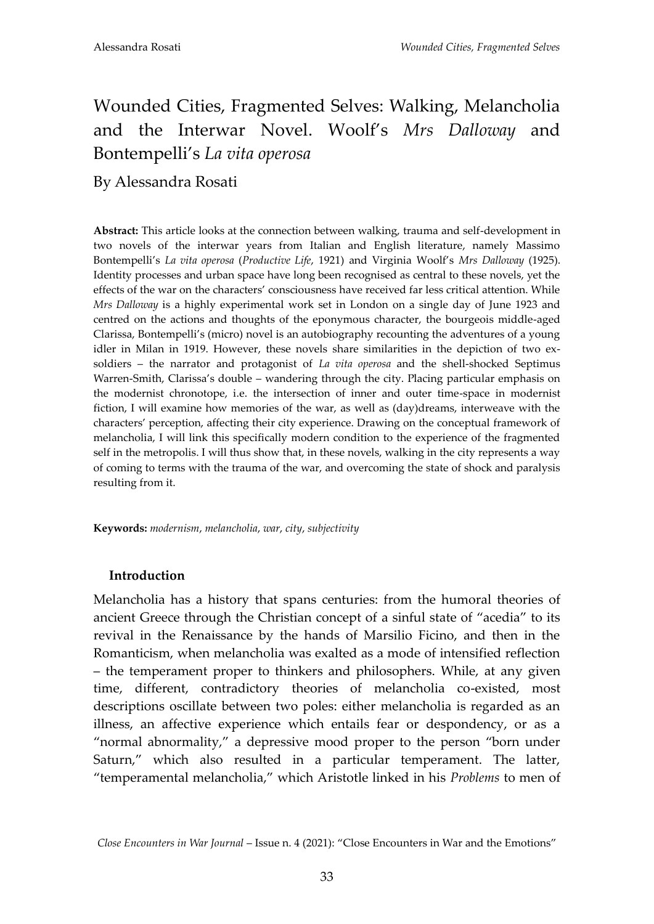# Wounded Cities, Fragmented Selves: Walking, Melancholia and the Interwar Novel. Woolf's *Mrs Dalloway* and Bontempelli's *La vita operosa*

By Alessandra Rosati

**Abstract:** This article looks at the connection between walking, trauma and self-development in two novels of the interwar years from Italian and English literature, namely Massimo Bontempelli's *La vita operosa* (*Productive Life*, 1921) and Virginia Woolf's *Mrs Dalloway* (1925). Identity processes and urban space have long been recognised as central to these novels, yet the effects of the war on the characters' consciousness have received far less critical attention. While *Mrs Dalloway* is a highly experimental work set in London on a single day of June 1923 and centred on the actions and thoughts of the eponymous character, the bourgeois middle-aged Clarissa, Bontempelli's (micro) novel is an autobiography recounting the adventures of a young idler in Milan in 1919. However, these novels share similarities in the depiction of two exsoldiers – the narrator and protagonist of *La vita operosa* and the shell-shocked Septimus Warren-Smith, Clarissa's double – wandering through the city. Placing particular emphasis on the modernist chronotope, i.e. the intersection of inner and outer time-space in modernist fiction, I will examine how memories of the war, as well as (day)dreams, interweave with the characters' perception, affecting their city experience. Drawing on the conceptual framework of melancholia, I will link this specifically modern condition to the experience of the fragmented self in the metropolis. I will thus show that, in these novels, walking in the city represents a way of coming to terms with the trauma of the war, and overcoming the state of shock and paralysis resulting from it.

**Keywords:** *modernism*, *melancholia*, *war*, *city*, *subjectivity*

# **Introduction**

Melancholia has a history that spans centuries: from the humoral theories of ancient Greece through the Christian concept of a sinful state of "acedia" to its revival in the Renaissance by the hands of Marsilio Ficino, and then in the Romanticism, when melancholia was exalted as a mode of intensified reflection – the temperament proper to thinkers and philosophers. While, at any given time, different, contradictory theories of melancholia co-existed, most descriptions oscillate between two poles: either melancholia is regarded as an illness, an affective experience which entails fear or despondency, or as a "normal abnormality," a depressive mood proper to the person "born under Saturn," which also resulted in a particular temperament. The latter, "temperamental melancholia," which Aristotle linked in his *Problems* to men of

*Close Encounters in War Journal* – Issue n. 4 (2021): "Close Encounters in War and the Emotions"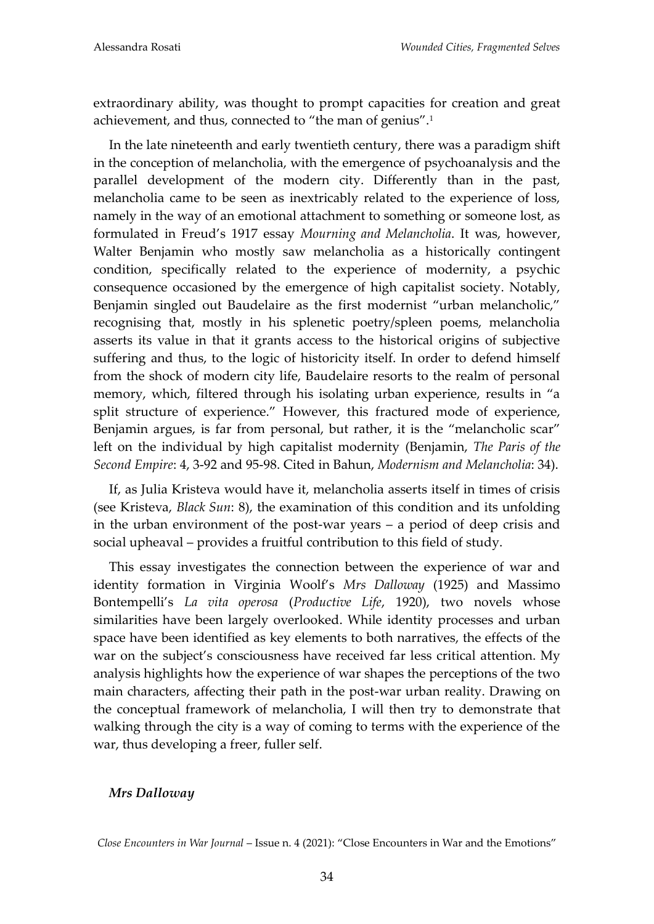extraordinary ability, was thought to prompt capacities for creation and great achievement, and thus, connected to "the man of genius".<sup>1</sup>

In the late nineteenth and early twentieth century, there was a paradigm shift in the conception of melancholia, with the emergence of psychoanalysis and the parallel development of the modern city. Differently than in the past, melancholia came to be seen as inextricably related to the experience of loss, namely in the way of an emotional attachment to something or someone lost, as formulated in Freud's 1917 essay *Mourning and Melancholia*. It was, however, Walter Benjamin who mostly saw melancholia as a historically contingent condition, specifically related to the experience of modernity, a psychic consequence occasioned by the emergence of high capitalist society. Notably, Benjamin singled out Baudelaire as the first modernist "urban melancholic," recognising that, mostly in his splenetic poetry/spleen poems, melancholia asserts its value in that it grants access to the historical origins of subjective suffering and thus, to the logic of historicity itself. In order to defend himself from the shock of modern city life, Baudelaire resorts to the realm of personal memory, which, filtered through his isolating urban experience, results in "a split structure of experience." However, this fractured mode of experience, Benjamin argues, is far from personal, but rather, it is the "melancholic scar" left on the individual by high capitalist modernity (Benjamin, *The Paris of the Second Empire*: 4, 3-92 and 95-98. Cited in Bahun, *Modernism and Melancholia*: 34).

If, as Julia Kristeva would have it, melancholia asserts itself in times of crisis (see Kristeva, *Black Sun*: 8), the examination of this condition and its unfolding in the urban environment of the post-war years – a period of deep crisis and social upheaval – provides a fruitful contribution to this field of study.

This essay investigates the connection between the experience of war and identity formation in Virginia Woolf's *Mrs Dalloway* (1925) and Massimo Bontempelli's *La vita operosa* (*Productive Life*, 1920), two novels whose similarities have been largely overlooked. While identity processes and urban space have been identified as key elements to both narratives, the effects of the war on the subject's consciousness have received far less critical attention. My analysis highlights how the experience of war shapes the perceptions of the two main characters, affecting their path in the post-war urban reality. Drawing on the conceptual framework of melancholia, I will then try to demonstrate that walking through the city is a way of coming to terms with the experience of the war, thus developing a freer, fuller self.

# *Mrs Dalloway*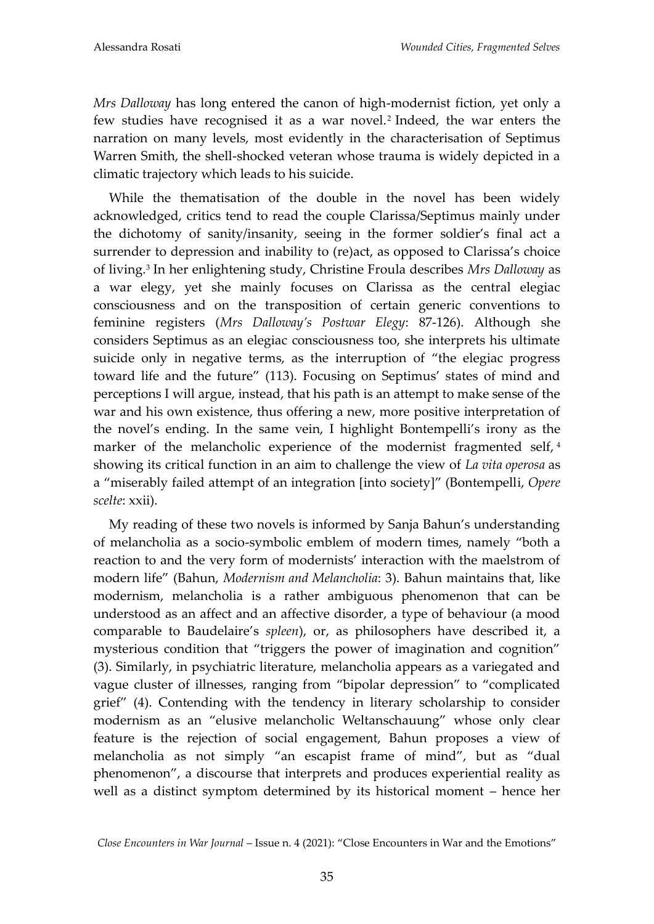*Mrs Dalloway* has long entered the canon of high-modernist fiction, yet only a few studies have recognised it as a war novel.<sup>2</sup> Indeed, the war enters the narration on many levels, most evidently in the characterisation of Septimus Warren Smith, the shell-shocked veteran whose trauma is widely depicted in a climatic trajectory which leads to his suicide.

While the thematisation of the double in the novel has been widely acknowledged, critics tend to read the couple Clarissa/Septimus mainly under the dichotomy of sanity/insanity, seeing in the former soldier's final act a surrender to depression and inability to (re)act, as opposed to Clarissa's choice of living.<sup>3</sup> In her enlightening study, Christine Froula describes *Mrs Dalloway* as a war elegy, yet she mainly focuses on Clarissa as the central elegiac consciousness and on the transposition of certain generic conventions to feminine registers (*Mrs Dalloway's Postwar Elegy*: 87-126). Although she considers Septimus as an elegiac consciousness too, she interprets his ultimate suicide only in negative terms, as the interruption of "the elegiac progress toward life and the future" (113). Focusing on Septimus' states of mind and perceptions I will argue, instead, that his path is an attempt to make sense of the war and his own existence, thus offering a new, more positive interpretation of the novel's ending. In the same vein, I highlight Bontempelli's irony as the marker of the melancholic experience of the modernist fragmented self, 4 showing its critical function in an aim to challenge the view of *La vita operosa* as a "miserably failed attempt of an integration [into society]" (Bontempelli, *Opere scelte*: xxii).

My reading of these two novels is informed by Sanja Bahun's understanding of melancholia as a socio-symbolic emblem of modern times, namely "both a reaction to and the very form of modernists' interaction with the maelstrom of modern life" (Bahun, *Modernism and Melancholia*: 3). Bahun maintains that, like modernism, melancholia is a rather ambiguous phenomenon that can be understood as an affect and an affective disorder, a type of behaviour (a mood comparable to Baudelaire's *spleen*), or, as philosophers have described it, a mysterious condition that "triggers the power of imagination and cognition" (3). Similarly, in psychiatric literature, melancholia appears as a variegated and vague cluster of illnesses, ranging from "bipolar depression" to "complicated grief" (4). Contending with the tendency in literary scholarship to consider modernism as an "elusive melancholic Weltanschauung" whose only clear feature is the rejection of social engagement, Bahun proposes a view of melancholia as not simply "an escapist frame of mind", but as "dual phenomenon", a discourse that interprets and produces experiential reality as well as a distinct symptom determined by its historical moment – hence her

*Close Encounters in War Journal* – Issue n. 4 (2021): "Close Encounters in War and the Emotions"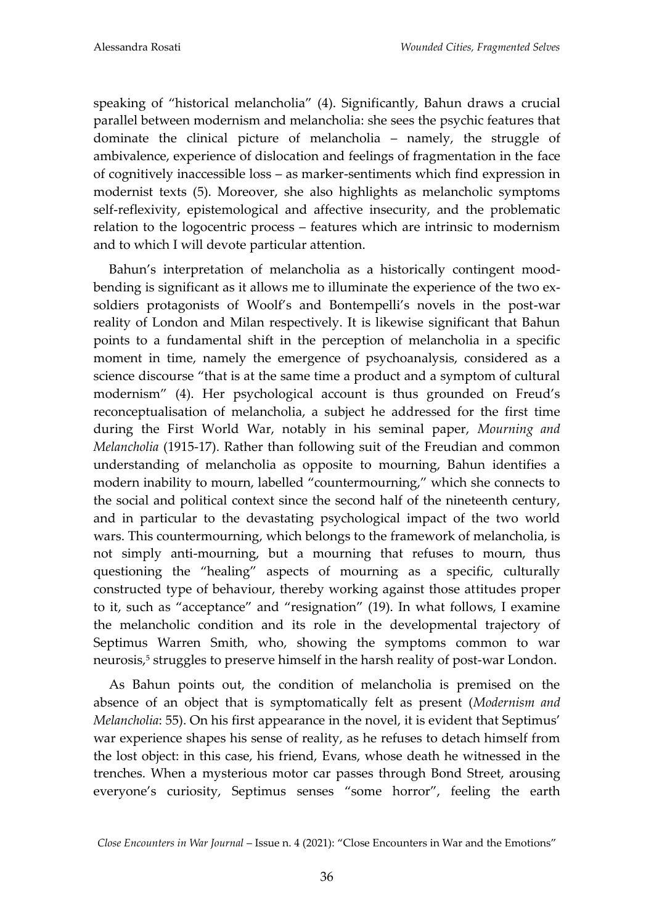speaking of "historical melancholia" (4). Significantly, Bahun draws a crucial parallel between modernism and melancholia: she sees the psychic features that dominate the clinical picture of melancholia – namely, the struggle of ambivalence, experience of dislocation and feelings of fragmentation in the face of cognitively inaccessible loss – as marker-sentiments which find expression in modernist texts (5). Moreover, she also highlights as melancholic symptoms self-reflexivity, epistemological and affective insecurity, and the problematic relation to the logocentric process – features which are intrinsic to modernism and to which I will devote particular attention.

Bahun's interpretation of melancholia as a historically contingent moodbending is significant as it allows me to illuminate the experience of the two exsoldiers protagonists of Woolf's and Bontempelli's novels in the post-war reality of London and Milan respectively. It is likewise significant that Bahun points to a fundamental shift in the perception of melancholia in a specific moment in time, namely the emergence of psychoanalysis, considered as a science discourse "that is at the same time a product and a symptom of cultural modernism" (4). Her psychological account is thus grounded on Freud's reconceptualisation of melancholia, a subject he addressed for the first time during the First World War, notably in his seminal paper, *Mourning and Melancholia* (1915-17). Rather than following suit of the Freudian and common understanding of melancholia as opposite to mourning, Bahun identifies a modern inability to mourn, labelled "countermourning," which she connects to the social and political context since the second half of the nineteenth century, and in particular to the devastating psychological impact of the two world wars. This countermourning, which belongs to the framework of melancholia, is not simply anti-mourning, but a mourning that refuses to mourn, thus questioning the "healing" aspects of mourning as a specific, culturally constructed type of behaviour, thereby working against those attitudes proper to it, such as "acceptance" and "resignation" (19). In what follows, I examine the melancholic condition and its role in the developmental trajectory of Septimus Warren Smith, who, showing the symptoms common to war neurosis,<sup>5</sup> struggles to preserve himself in the harsh reality of post-war London.

As Bahun points out, the condition of melancholia is premised on the absence of an object that is symptomatically felt as present (*Modernism and Melancholia*: 55). On his first appearance in the novel, it is evident that Septimus' war experience shapes his sense of reality, as he refuses to detach himself from the lost object: in this case, his friend, Evans, whose death he witnessed in the trenches. When a mysterious motor car passes through Bond Street, arousing everyone's curiosity, Septimus senses "some horror", feeling the earth

*Close Encounters in War Journal* – Issue n. 4 (2021): "Close Encounters in War and the Emotions"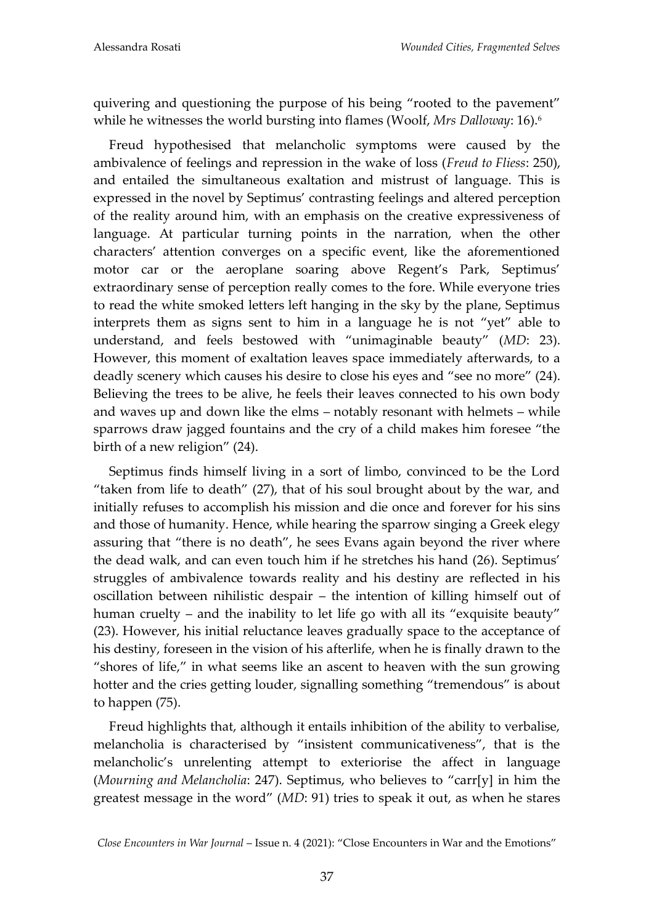quivering and questioning the purpose of his being "rooted to the pavement" while he witnesses the world bursting into flames (Woolf, *Mrs Dalloway*: 16).<sup>6</sup>

Freud hypothesised that melancholic symptoms were caused by the ambivalence of feelings and repression in the wake of loss (*Freud to Fliess*: 250), and entailed the simultaneous exaltation and mistrust of language. This is expressed in the novel by Septimus' contrasting feelings and altered perception of the reality around him, with an emphasis on the creative expressiveness of language. At particular turning points in the narration, when the other characters' attention converges on a specific event, like the aforementioned motor car or the aeroplane soaring above Regent's Park, Septimus' extraordinary sense of perception really comes to the fore. While everyone tries to read the white smoked letters left hanging in the sky by the plane, Septimus interprets them as signs sent to him in a language he is not "yet" able to understand, and feels bestowed with "unimaginable beauty" (*MD*: 23). However, this moment of exaltation leaves space immediately afterwards, to a deadly scenery which causes his desire to close his eyes and "see no more" (24). Believing the trees to be alive, he feels their leaves connected to his own body and waves up and down like the elms – notably resonant with helmets – while sparrows draw jagged fountains and the cry of a child makes him foresee "the birth of a new religion" (24).

Septimus finds himself living in a sort of limbo, convinced to be the Lord "taken from life to death" (27), that of his soul brought about by the war, and initially refuses to accomplish his mission and die once and forever for his sins and those of humanity. Hence, while hearing the sparrow singing a Greek elegy assuring that "there is no death", he sees Evans again beyond the river where the dead walk, and can even touch him if he stretches his hand (26). Septimus' struggles of ambivalence towards reality and his destiny are reflected in his oscillation between nihilistic despair – the intention of killing himself out of human cruelty – and the inability to let life go with all its "exquisite beauty" (23). However, his initial reluctance leaves gradually space to the acceptance of his destiny, foreseen in the vision of his afterlife, when he is finally drawn to the "shores of life," in what seems like an ascent to heaven with the sun growing hotter and the cries getting louder, signalling something "tremendous" is about to happen (75).

Freud highlights that, although it entails inhibition of the ability to verbalise, melancholia is characterised by "insistent communicativeness", that is the melancholic's unrelenting attempt to exteriorise the affect in language (*Mourning and Melancholia*: 247). Septimus, who believes to "carr[y] in him the greatest message in the word" (*MD*: 91) tries to speak it out, as when he stares

*Close Encounters in War Journal* – Issue n. 4 (2021): "Close Encounters in War and the Emotions"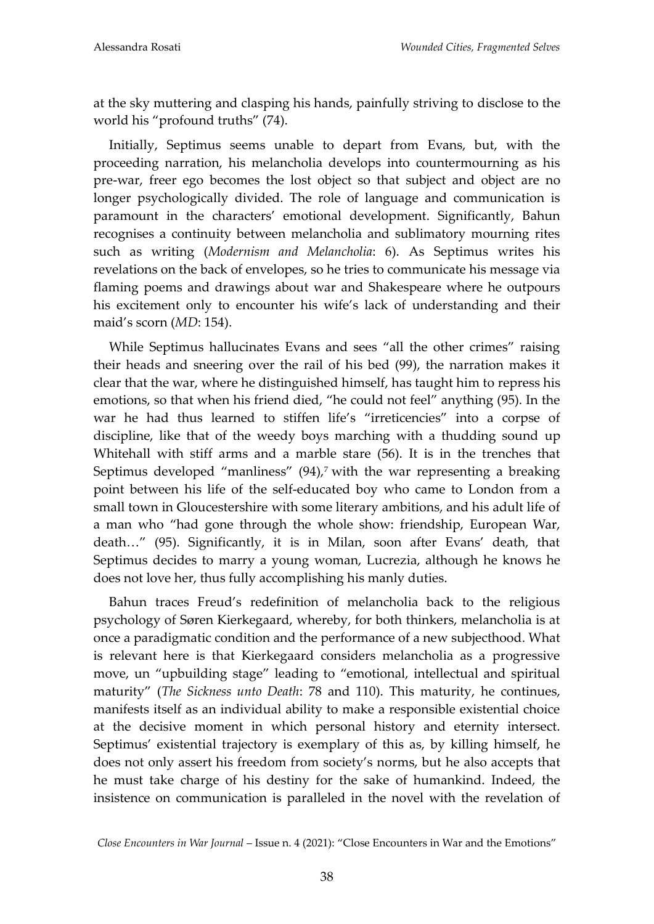at the sky muttering and clasping his hands, painfully striving to disclose to the world his "profound truths" (74).

Initially, Septimus seems unable to depart from Evans, but, with the proceeding narration, his melancholia develops into countermourning as his pre-war, freer ego becomes the lost object so that subject and object are no longer psychologically divided. The role of language and communication is paramount in the characters' emotional development. Significantly, Bahun recognises a continuity between melancholia and sublimatory mourning rites such as writing (*Modernism and Melancholia*: 6). As Septimus writes his revelations on the back of envelopes, so he tries to communicate his message via flaming poems and drawings about war and Shakespeare where he outpours his excitement only to encounter his wife's lack of understanding and their maid's scorn (*MD*: 154).

While Septimus hallucinates Evans and sees "all the other crimes" raising their heads and sneering over the rail of his bed (99), the narration makes it clear that the war, where he distinguished himself, has taught him to repress his emotions, so that when his friend died, "he could not feel" anything (95). In the war he had thus learned to stiffen life's "irreticencies" into a corpse of discipline, like that of the weedy boys marching with a thudding sound up Whitehall with stiff arms and a marble stare (56). It is in the trenches that Septimus developed "manliness"  $(94)$ ,<sup>7</sup> with the war representing a breaking point between his life of the self-educated boy who came to London from a small town in Gloucestershire with some literary ambitions, and his adult life of a man who "had gone through the whole show: friendship, European War, death..." (95). Significantly, it is in Milan, soon after Evans' death, that Septimus decides to marry a young woman, Lucrezia, although he knows he does not love her, thus fully accomplishing his manly duties.

Bahun traces Freud's redefinition of melancholia back to the religious psychology of Søren Kierkegaard, whereby, for both thinkers, melancholia is at once a paradigmatic condition and the performance of a new subjecthood. What is relevant here is that Kierkegaard considers melancholia as a progressive move, un "upbuilding stage" leading to "emotional, intellectual and spiritual maturity" (*The Sickness unto Death*: 78 and 110). This maturity, he continues, manifests itself as an individual ability to make a responsible existential choice at the decisive moment in which personal history and eternity intersect. Septimus' existential trajectory is exemplary of this as, by killing himself, he does not only assert his freedom from society's norms, but he also accepts that he must take charge of his destiny for the sake of humankind. Indeed, the insistence on communication is paralleled in the novel with the revelation of

*Close Encounters in War Journal* – Issue n. 4 (2021): "Close Encounters in War and the Emotions"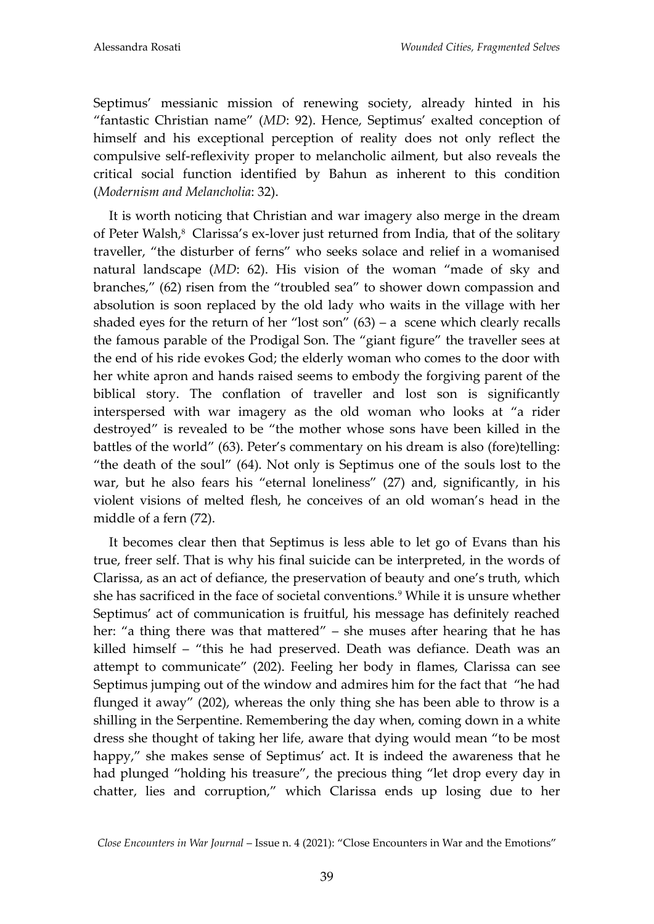Septimus' messianic mission of renewing society, already hinted in his "fantastic Christian name" (*MD*: 92). Hence, Septimus' exalted conception of himself and his exceptional perception of reality does not only reflect the compulsive self-reflexivity proper to melancholic ailment, but also reveals the critical social function identified by Bahun as inherent to this condition (*Modernism and Melancholia*: 32).

It is worth noticing that Christian and war imagery also merge in the dream of Peter Walsh,<sup>8</sup> Clarissa's ex-lover just returned from India, that of the solitary traveller, "the disturber of ferns" who seeks solace and relief in a womanised natural landscape (*MD*: 62). His vision of the woman "made of sky and branches," (62) risen from the "troubled sea" to shower down compassion and absolution is soon replaced by the old lady who waits in the village with her shaded eyes for the return of her "lost son"  $(63)$  – a scene which clearly recalls the famous parable of the Prodigal Son. The "giant figure" the traveller sees at the end of his ride evokes God; the elderly woman who comes to the door with her white apron and hands raised seems to embody the forgiving parent of the biblical story. The conflation of traveller and lost son is significantly interspersed with war imagery as the old woman who looks at "a rider destroyed" is revealed to be "the mother whose sons have been killed in the battles of the world" (63). Peter's commentary on his dream is also (fore)telling: "the death of the soul" (64). Not only is Septimus one of the souls lost to the war, but he also fears his "eternal loneliness" (27) and, significantly, in his violent visions of melted flesh, he conceives of an old woman's head in the middle of a fern (72).

It becomes clear then that Septimus is less able to let go of Evans than his true, freer self. That is why his final suicide can be interpreted, in the words of Clarissa, as an act of defiance, the preservation of beauty and one's truth, which she has sacrificed in the face of societal conventions.<sup>9</sup> While it is unsure whether Septimus' act of communication is fruitful, his message has definitely reached her: "a thing there was that mattered" – she muses after hearing that he has killed himself – "this he had preserved. Death was defiance. Death was an attempt to communicate" (202). Feeling her body in flames, Clarissa can see Septimus jumping out of the window and admires him for the fact that "he had flunged it away" (202), whereas the only thing she has been able to throw is a shilling in the Serpentine. Remembering the day when, coming down in a white dress she thought of taking her life, aware that dying would mean "to be most happy," she makes sense of Septimus' act. It is indeed the awareness that he had plunged "holding his treasure", the precious thing "let drop every day in chatter, lies and corruption," which Clarissa ends up losing due to her

*Close Encounters in War Journal* – Issue n. 4 (2021): "Close Encounters in War and the Emotions"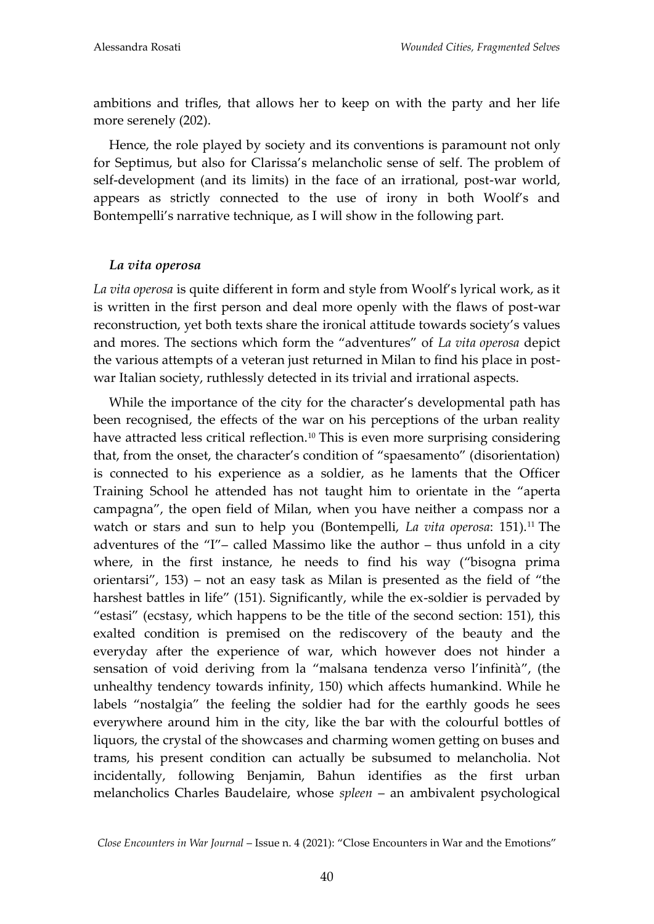ambitions and trifles, that allows her to keep on with the party and her life more serenely (202).

Hence, the role played by society and its conventions is paramount not only for Septimus, but also for Clarissa's melancholic sense of self. The problem of self-development (and its limits) in the face of an irrational, post-war world, appears as strictly connected to the use of irony in both Woolf's and Bontempelli's narrative technique, as I will show in the following part.

# *La vita operosa*

*La vita operosa* is quite different in form and style from Woolf's lyrical work, as it is written in the first person and deal more openly with the flaws of post-war reconstruction, yet both texts share the ironical attitude towards society's values and mores. The sections which form the "adventures" of *La vita operosa* depict the various attempts of a veteran just returned in Milan to find his place in postwar Italian society, ruthlessly detected in its trivial and irrational aspects.

While the importance of the city for the character's developmental path has been recognised, the effects of the war on his perceptions of the urban reality have attracted less critical reflection.<sup>10</sup> This is even more surprising considering that, from the onset, the character's condition of "spaesamento" (disorientation) is connected to his experience as a soldier, as he laments that the Officer Training School he attended has not taught him to orientate in the "aperta campagna", the open field of Milan, when you have neither a compass nor a watch or stars and sun to help you (Bontempelli, *La vita operosa*: 151).<sup>11</sup> The adventures of the "I"– called Massimo like the author – thus unfold in a city where, in the first instance, he needs to find his way ("bisogna prima orientarsi", 153) – not an easy task as Milan is presented as the field of "the harshest battles in life" (151). Significantly, while the ex-soldier is pervaded by "estasi" (ecstasy, which happens to be the title of the second section: 151), this exalted condition is premised on the rediscovery of the beauty and the everyday after the experience of war, which however does not hinder a sensation of void deriving from la "malsana tendenza verso l'infinità", (the unhealthy tendency towards infinity, 150) which affects humankind. While he labels "nostalgia" the feeling the soldier had for the earthly goods he sees everywhere around him in the city, like the bar with the colourful bottles of liquors, the crystal of the showcases and charming women getting on buses and trams, his present condition can actually be subsumed to melancholia. Not incidentally, following Benjamin, Bahun identifies as the first urban melancholics Charles Baudelaire, whose *spleen* – an ambivalent psychological

*Close Encounters in War Journal* – Issue n. 4 (2021): "Close Encounters in War and the Emotions"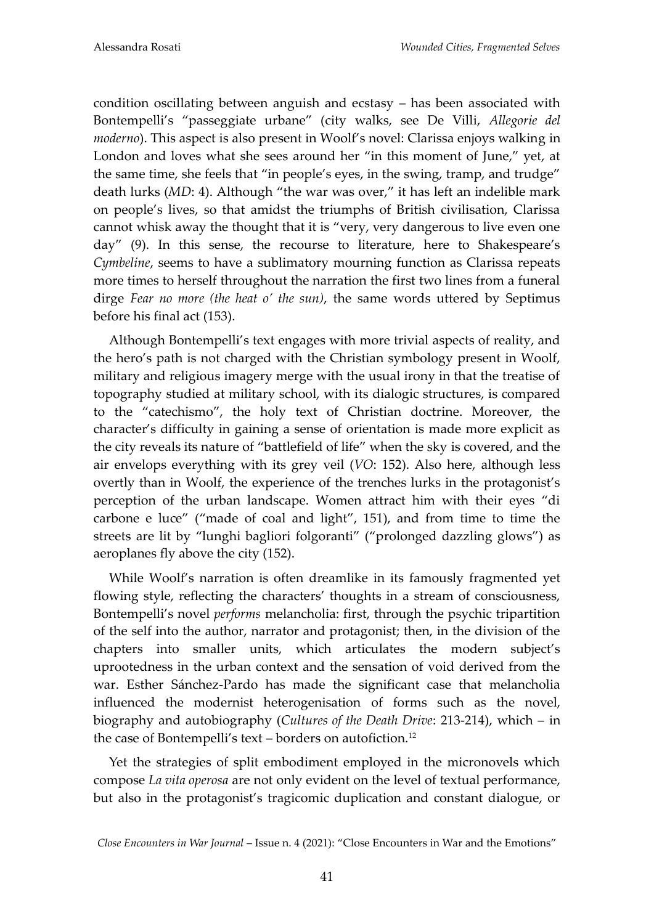condition oscillating between anguish and ecstasy – has been associated with Bontempelli's "passeggiate urbane" (city walks, see De Villi, *Allegorie del moderno*). This aspect is also present in Woolf's novel: Clarissa enjoys walking in London and loves what she sees around her "in this moment of June," yet, at the same time, she feels that "in people's eyes, in the swing, tramp, and trudge" death lurks (*MD*: 4). Although "the war was over," it has left an indelible mark on people's lives, so that amidst the triumphs of British civilisation, Clarissa cannot whisk away the thought that it is "very, very dangerous to live even one day" (9). In this sense, the recourse to literature, here to Shakespeare's *Cymbeline*, seems to have a sublimatory mourning function as Clarissa repeats more times to herself throughout the narration the first two lines from a funeral dirge *Fear no more (the heat o' the sun)*, the same words uttered by Septimus before his final act (153).

Although Bontempelli's text engages with more trivial aspects of reality, and the hero's path is not charged with the Christian symbology present in Woolf, military and religious imagery merge with the usual irony in that the treatise of topography studied at military school, with its dialogic structures, is compared to the "catechismo", the holy text of Christian doctrine. Moreover, the character's difficulty in gaining a sense of orientation is made more explicit as the city reveals its nature of "battlefield of life" when the sky is covered, and the air envelops everything with its grey veil (*VO*: 152). Also here, although less overtly than in Woolf, the experience of the trenches lurks in the protagonist's perception of the urban landscape. Women attract him with their eyes "di carbone e luce" ("made of coal and light", 151), and from time to time the streets are lit by "lunghi bagliori folgoranti" ("prolonged dazzling glows") as aeroplanes fly above the city (152).

While Woolf's narration is often dreamlike in its famously fragmented yet flowing style, reflecting the characters' thoughts in a stream of consciousness, Bontempelli's novel *performs* melancholia: first, through the psychic tripartition of the self into the author, narrator and protagonist; then, in the division of the chapters into smaller units, which articulates the modern subject's uprootedness in the urban context and the sensation of void derived from the war. Esther Sánchez-Pardo has made the significant case that melancholia influenced the modernist heterogenisation of forms such as the novel, biography and autobiography (*Cultures of the Death Drive*: 213-214), which – in the case of Bontempelli's text - borders on autofiction.<sup>12</sup>

Yet the strategies of split embodiment employed in the micronovels which compose *La vita operosa* are not only evident on the level of textual performance, but also in the protagonist's tragicomic duplication and constant dialogue, or

*Close Encounters in War Journal* – Issue n. 4 (2021): "Close Encounters in War and the Emotions"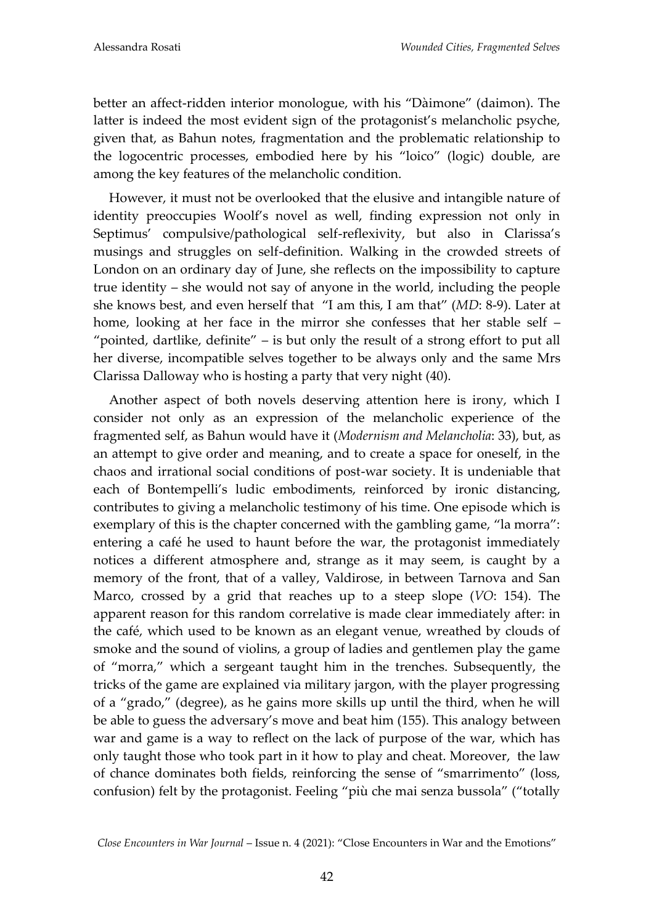better an affect-ridden interior monologue, with his "Dàimone" (daimon). The latter is indeed the most evident sign of the protagonist's melancholic psyche, given that, as Bahun notes, fragmentation and the problematic relationship to the logocentric processes, embodied here by his "loico" (logic) double, are among the key features of the melancholic condition.

However, it must not be overlooked that the elusive and intangible nature of identity preoccupies Woolf's novel as well, finding expression not only in Septimus' compulsive/pathological self-reflexivity, but also in Clarissa's musings and struggles on self-definition. Walking in the crowded streets of London on an ordinary day of June, she reflects on the impossibility to capture true identity – she would not say of anyone in the world, including the people she knows best, and even herself that "I am this, I am that" (*MD*: 8-9). Later at home, looking at her face in the mirror she confesses that her stable self – "pointed, dartlike, definite" – is but only the result of a strong effort to put all her diverse, incompatible selves together to be always only and the same Mrs Clarissa Dalloway who is hosting a party that very night (40).

Another aspect of both novels deserving attention here is irony, which I consider not only as an expression of the melancholic experience of the fragmented self, as Bahun would have it (*Modernism and Melancholia*: 33), but, as an attempt to give order and meaning, and to create a space for oneself, in the chaos and irrational social conditions of post-war society. It is undeniable that each of Bontempelli's ludic embodiments, reinforced by ironic distancing, contributes to giving a melancholic testimony of his time. One episode which is exemplary of this is the chapter concerned with the gambling game, "la morra": entering a café he used to haunt before the war, the protagonist immediately notices a different atmosphere and, strange as it may seem, is caught by a memory of the front, that of a valley, Valdirose, in between Tarnova and San Marco, crossed by a grid that reaches up to a steep slope (*VO*: 154). The apparent reason for this random correlative is made clear immediately after: in the café, which used to be known as an elegant venue, wreathed by clouds of smoke and the sound of violins, a group of ladies and gentlemen play the game of "morra," which a sergeant taught him in the trenches. Subsequently, the tricks of the game are explained via military jargon, with the player progressing of a "grado," (degree), as he gains more skills up until the third, when he will be able to guess the adversary's move and beat him (155). This analogy between war and game is a way to reflect on the lack of purpose of the war, which has only taught those who took part in it how to play and cheat. Moreover, the law of chance dominates both fields, reinforcing the sense of "smarrimento" (loss, confusion) felt by the protagonist. Feeling "più che mai senza bussola" ("totally

*Close Encounters in War Journal* – Issue n. 4 (2021): "Close Encounters in War and the Emotions"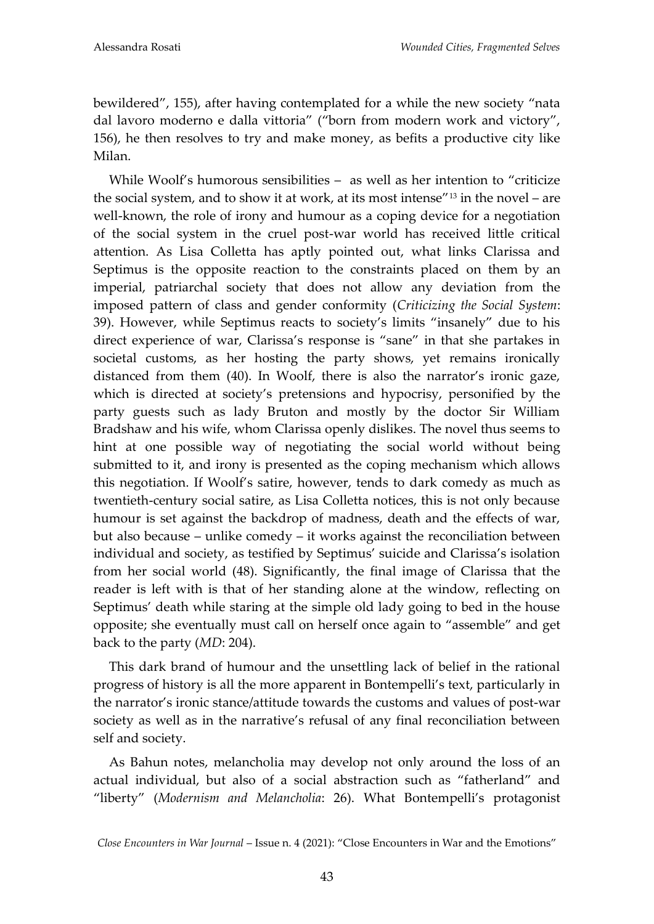bewildered", 155), after having contemplated for a while the new society "nata dal lavoro moderno e dalla vittoria" ("born from modern work and victory", 156), he then resolves to try and make money, as befits a productive city like Milan.

While Woolf's humorous sensibilities – as well as her intention to "criticize" the social system, and to show it at work, at its most intense"<sup>13</sup> in the novel – are well-known, the role of irony and humour as a coping device for a negotiation of the social system in the cruel post-war world has received little critical attention. As Lisa Colletta has aptly pointed out, what links Clarissa and Septimus is the opposite reaction to the constraints placed on them by an imperial, patriarchal society that does not allow any deviation from the imposed pattern of class and gender conformity (*Criticizing the Social System*: 39). However, while Septimus reacts to society's limits "insanely" due to his direct experience of war, Clarissa's response is "sane" in that she partakes in societal customs, as her hosting the party shows, yet remains ironically distanced from them (40). In Woolf, there is also the narrator's ironic gaze, which is directed at society's pretensions and hypocrisy, personified by the party guests such as lady Bruton and mostly by the doctor Sir William Bradshaw and his wife, whom Clarissa openly dislikes. The novel thus seems to hint at one possible way of negotiating the social world without being submitted to it, and irony is presented as the coping mechanism which allows this negotiation. If Woolf's satire, however, tends to dark comedy as much as twentieth-century social satire, as Lisa Colletta notices, this is not only because humour is set against the backdrop of madness, death and the effects of war, but also because – unlike comedy – it works against the reconciliation between individual and society, as testified by Septimus' suicide and Clarissa's isolation from her social world (48). Significantly, the final image of Clarissa that the reader is left with is that of her standing alone at the window, reflecting on Septimus' death while staring at the simple old lady going to bed in the house opposite; she eventually must call on herself once again to "assemble" and get back to the party (*MD*: 204).

This dark brand of humour and the unsettling lack of belief in the rational progress of history is all the more apparent in Bontempelli's text, particularly in the narrator's ironic stance/attitude towards the customs and values of post-war society as well as in the narrative's refusal of any final reconciliation between self and society.

As Bahun notes, melancholia may develop not only around the loss of an actual individual, but also of a social abstraction such as "fatherland" and "liberty" (*Modernism and Melancholia*: 26). What Bontempelli's protagonist

*Close Encounters in War Journal* – Issue n. 4 (2021): "Close Encounters in War and the Emotions"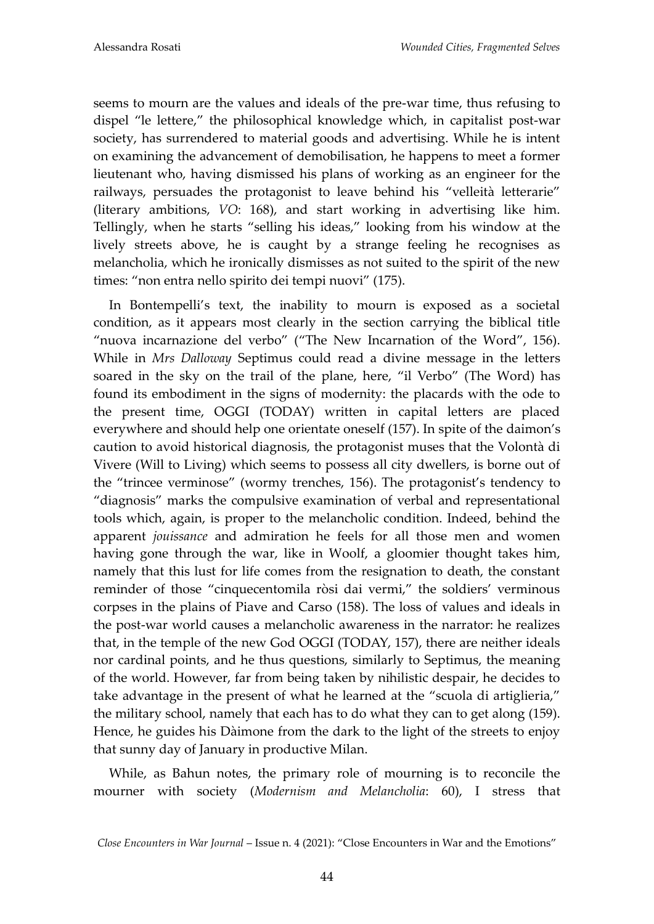seems to mourn are the values and ideals of the pre-war time, thus refusing to dispel "le lettere," the philosophical knowledge which, in capitalist post-war society, has surrendered to material goods and advertising. While he is intent on examining the advancement of demobilisation, he happens to meet a former lieutenant who, having dismissed his plans of working as an engineer for the railways, persuades the protagonist to leave behind his "velleità letterarie" (literary ambitions, *VO*: 168), and start working in advertising like him. Tellingly, when he starts "selling his ideas," looking from his window at the lively streets above, he is caught by a strange feeling he recognises as melancholia, which he ironically dismisses as not suited to the spirit of the new times: "non entra nello spirito dei tempi nuovi" (175).

In Bontempelli's text, the inability to mourn is exposed as a societal condition, as it appears most clearly in the section carrying the biblical title "nuova incarnazione del verbo" ("The New Incarnation of the Word", 156). While in *Mrs Dalloway* Septimus could read a divine message in the letters soared in the sky on the trail of the plane, here, "il Verbo" (The Word) has found its embodiment in the signs of modernity: the placards with the ode to the present time, OGGI (TODAY) written in capital letters are placed everywhere and should help one orientate oneself (157). In spite of the daimon's caution to avoid historical diagnosis, the protagonist muses that the Volontà di Vivere (Will to Living) which seems to possess all city dwellers, is borne out of the "trincee verminose" (wormy trenches, 156). The protagonist's tendency to "diagnosis" marks the compulsive examination of verbal and representational tools which, again, is proper to the melancholic condition. Indeed, behind the apparent *jouissance* and admiration he feels for all those men and women having gone through the war, like in Woolf, a gloomier thought takes him, namely that this lust for life comes from the resignation to death, the constant reminder of those "cinquecentomila ròsi dai vermi," the soldiers' verminous corpses in the plains of Piave and Carso (158). The loss of values and ideals in the post-war world causes a melancholic awareness in the narrator: he realizes that, in the temple of the new God OGGI (TODAY, 157), there are neither ideals nor cardinal points, and he thus questions, similarly to Septimus, the meaning of the world. However, far from being taken by nihilistic despair, he decides to take advantage in the present of what he learned at the "scuola di artiglieria," the military school, namely that each has to do what they can to get along (159). Hence, he guides his Dàimone from the dark to the light of the streets to enjoy that sunny day of January in productive Milan.

While, as Bahun notes, the primary role of mourning is to reconcile the mourner with society (*Modernism and Melancholia*: 60), I stress that

*Close Encounters in War Journal* – Issue n. 4 (2021): "Close Encounters in War and the Emotions"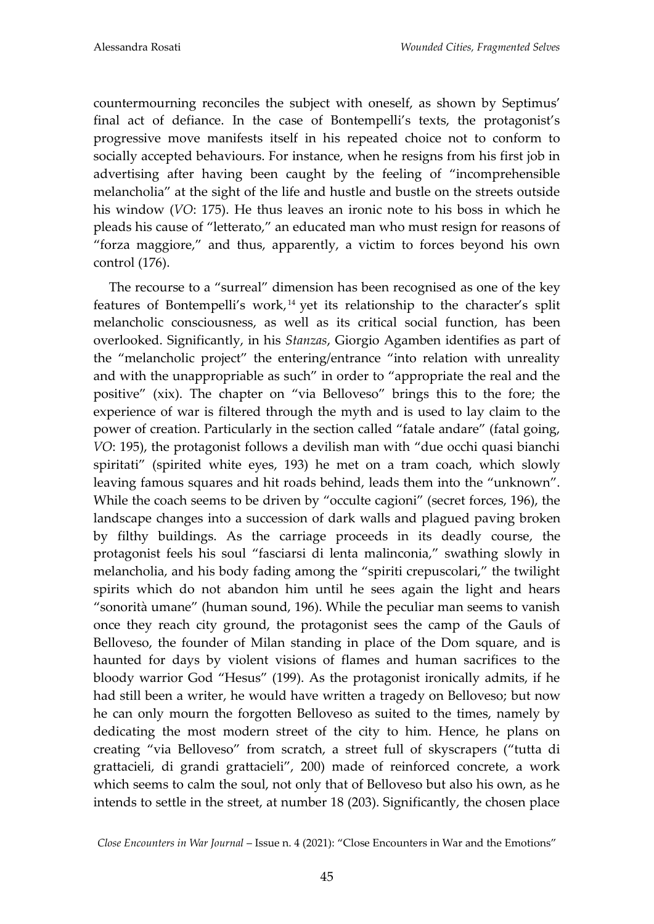countermourning reconciles the subject with oneself, as shown by Septimus' final act of defiance. In the case of Bontempelli's texts, the protagonist's progressive move manifests itself in his repeated choice not to conform to socially accepted behaviours. For instance, when he resigns from his first job in advertising after having been caught by the feeling of "incomprehensible melancholia" at the sight of the life and hustle and bustle on the streets outside his window (*VO*: 175). He thus leaves an ironic note to his boss in which he pleads his cause of "letterato," an educated man who must resign for reasons of "forza maggiore," and thus, apparently, a victim to forces beyond his own control (176).

The recourse to a "surreal" dimension has been recognised as one of the key features of Bontempelli's work, <sup>14</sup> yet its relationship to the character's split melancholic consciousness, as well as its critical social function, has been overlooked. Significantly, in his *Stanzas*, Giorgio Agamben identifies as part of the "melancholic project" the entering/entrance "into relation with unreality and with the unappropriable as such" in order to "appropriate the real and the positive" (xix). The chapter on "via Belloveso" brings this to the fore; the experience of war is filtered through the myth and is used to lay claim to the power of creation. Particularly in the section called "fatale andare" (fatal going, *VO*: 195), the protagonist follows a devilish man with "due occhi quasi bianchi spiritati" (spirited white eyes, 193) he met on a tram coach, which slowly leaving famous squares and hit roads behind, leads them into the "unknown". While the coach seems to be driven by "occulte cagioni" (secret forces, 196), the landscape changes into a succession of dark walls and plagued paving broken by filthy buildings. As the carriage proceeds in its deadly course, the protagonist feels his soul "fasciarsi di lenta malinconia," swathing slowly in melancholia, and his body fading among the "spiriti crepuscolari," the twilight spirits which do not abandon him until he sees again the light and hears "sonorità umane" (human sound, 196). While the peculiar man seems to vanish once they reach city ground, the protagonist sees the camp of the Gauls of Belloveso, the founder of Milan standing in place of the Dom square, and is haunted for days by violent visions of flames and human sacrifices to the bloody warrior God "Hesus" (199). As the protagonist ironically admits, if he had still been a writer, he would have written a tragedy on Belloveso; but now he can only mourn the forgotten Belloveso as suited to the times, namely by dedicating the most modern street of the city to him. Hence, he plans on creating "via Belloveso" from scratch, a street full of skyscrapers ("tutta di grattacieli, di grandi grattacieli", 200) made of reinforced concrete, a work which seems to calm the soul, not only that of Belloveso but also his own, as he intends to settle in the street, at number 18 (203). Significantly, the chosen place

*Close Encounters in War Journal* – Issue n. 4 (2021): "Close Encounters in War and the Emotions"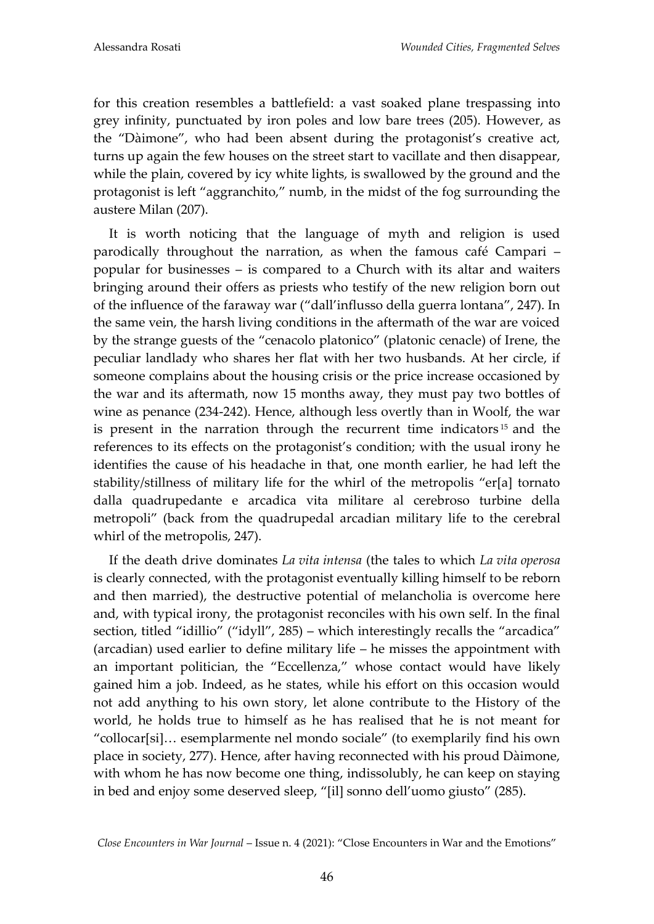for this creation resembles a battlefield: a vast soaked plane trespassing into grey infinity, punctuated by iron poles and low bare trees (205). However, as the "Dàimone", who had been absent during the protagonist's creative act, turns up again the few houses on the street start to vacillate and then disappear, while the plain, covered by icy white lights, is swallowed by the ground and the protagonist is left "aggranchito," numb, in the midst of the fog surrounding the austere Milan (207).

It is worth noticing that the language of myth and religion is used parodically throughout the narration, as when the famous café Campari – popular for businesses – is compared to a Church with its altar and waiters bringing around their offers as priests who testify of the new religion born out of the influence of the faraway war ("dall'influsso della guerra lontana", 247). In the same vein, the harsh living conditions in the aftermath of the war are voiced by the strange guests of the "cenacolo platonico" (platonic cenacle) of Irene, the peculiar landlady who shares her flat with her two husbands. At her circle, if someone complains about the housing crisis or the price increase occasioned by the war and its aftermath, now 15 months away, they must pay two bottles of wine as penance (234-242). Hence, although less overtly than in Woolf, the war is present in the narration through the recurrent time indicators <sup>15</sup> and the references to its effects on the protagonist's condition; with the usual irony he identifies the cause of his headache in that, one month earlier, he had left the stability/stillness of military life for the whirl of the metropolis "er[a] tornato dalla quadrupedante e arcadica vita militare al cerebroso turbine della metropoli" (back from the quadrupedal arcadian military life to the cerebral whirl of the metropolis, 247).

If the death drive dominates *La vita intensa* (the tales to which *La vita operosa* is clearly connected, with the protagonist eventually killing himself to be reborn and then married), the destructive potential of melancholia is overcome here and, with typical irony, the protagonist reconciles with his own self. In the final section, titled "idillio" ("idyll", 285) – which interestingly recalls the "arcadica" (arcadian) used earlier to define military life – he misses the appointment with an important politician, the "Eccellenza," whose contact would have likely gained him a job. Indeed, as he states, while his effort on this occasion would not add anything to his own story, let alone contribute to the History of the world, he holds true to himself as he has realised that he is not meant for "collocar[si]... esemplarmente nel mondo sociale" (to exemplarily find his own place in society, 277). Hence, after having reconnected with his proud Dàimone, with whom he has now become one thing, indissolubly, he can keep on staying in bed and enjoy some deserved sleep, "[il] sonno dell'uomo giusto" (285).

*Close Encounters in War Journal* – Issue n. 4 (2021): "Close Encounters in War and the Emotions"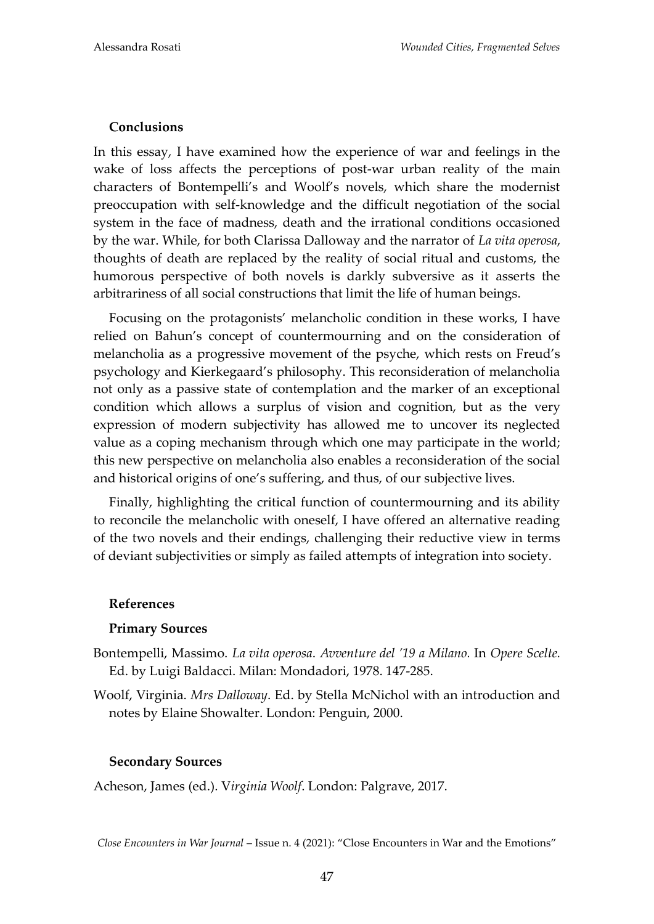## **Conclusions**

In this essay, I have examined how the experience of war and feelings in the wake of loss affects the perceptions of post-war urban reality of the main characters of Bontempelli's and Woolf's novels, which share the modernist preoccupation with self-knowledge and the difficult negotiation of the social system in the face of madness, death and the irrational conditions occasioned by the war. While, for both Clarissa Dalloway and the narrator of *La vita operosa*, thoughts of death are replaced by the reality of social ritual and customs, the humorous perspective of both novels is darkly subversive as it asserts the arbitrariness of all social constructions that limit the life of human beings.

Focusing on the protagonists' melancholic condition in these works, I have relied on Bahun's concept of countermourning and on the consideration of melancholia as a progressive movement of the psyche, which rests on Freud's psychology and Kierkegaard's philosophy. This reconsideration of melancholia not only as a passive state of contemplation and the marker of an exceptional condition which allows a surplus of vision and cognition, but as the very expression of modern subjectivity has allowed me to uncover its neglected value as a coping mechanism through which one may participate in the world; this new perspective on melancholia also enables a reconsideration of the social and historical origins of one's suffering, and thus, of our subjective lives.

Finally, highlighting the critical function of countermourning and its ability to reconcile the melancholic with oneself, I have offered an alternative reading of the two novels and their endings, challenging their reductive view in terms of deviant subjectivities or simply as failed attempts of integration into society.

## **References**

## **Primary Sources**

- Bontempelli, Massimo. *La vita operosa*. *Avventure del '19 a Milano.* In *Opere Scelte.*  Ed. by Luigi Baldacci. Milan: Mondadori, 1978. 147-285.
- Woolf, Virginia. *Mrs Dalloway*. Ed. by Stella McNichol with an introduction and notes by Elaine Showalter. London: Penguin, 2000.

## **Secondary Sources**

Acheson, James (ed.). V*irginia Woolf*. London: Palgrave, 2017.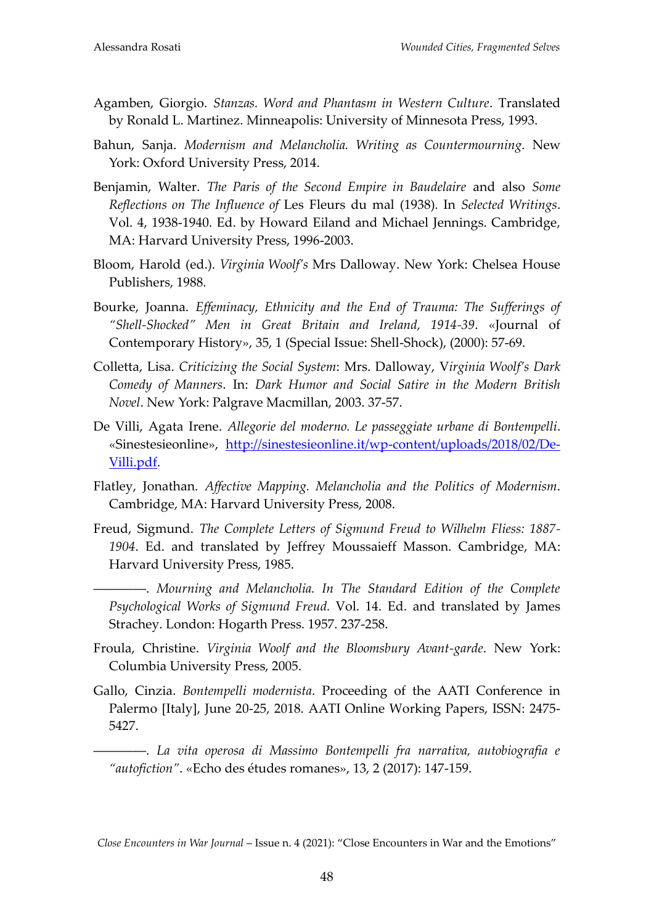- Agamben, Giorgio. *Stanzas. Word and Phantasm in Western Culture*. Translated by Ronald L. Martinez. Minneapolis: University of Minnesota Press, 1993.
- Bahun, Sanja. *Modernism and Melancholia. Writing as Countermourning.* New York: Oxford University Press, 2014.
- Benjamin, Walter. *The Paris of the Second Empire in Baudelaire* and also *Some Reflections on The Influence of* Les Fleurs du mal (1938)*.* In *Selected Writings*. Vol. 4, 1938-1940. Ed. by Howard Eiland and Michael Jennings. Cambridge, MA: Harvard University Press, 1996-2003.
- Bloom, Harold (ed.). *Virginia Woolf's* Mrs Dalloway. New York: Chelsea House Publishers, 1988.
- Bourke, Joanna. *Effeminacy, Ethnicity and the End of Trauma: The Sufferings of "Shell-Shocked" Men in Great Britain and Ireland, 1914-39*. «Journal of Contemporary History», 35, 1 (Special Issue: Shell-Shock), (2000): 57-69.
- Colletta, Lisa. *Criticizing the Social System*: Mrs. Dalloway, V*irginia Woolf's Dark Comedy of Manners*. In: *Dark Humor and Social Satire in the Modern British Novel*. New York: Palgrave Macmillan, 2003. 37-57.
- De Villi, Agata Irene. *Allegorie del moderno. Le passeggiate urbane di Bontempelli*. «Sinestesieonline», [http://sinestesieonline.it/wp](http://sinestesieonline.it/wp-content/uploads/2018/02/De-Villi.pdf)-content/uploads/2018/02/De-[Villi.pdf.](http://sinestesieonline.it/wp-content/uploads/2018/02/De-Villi.pdf)
- Flatley, Jonathan. *Affective Mapping. Melancholia and the Politics of Modernism*. Cambridge, MA: Harvard University Press, 2008.
- Freud, Sigmund. *The Complete Letters of Sigmund Freud to Wilhelm Fliess: 1887- 1904*. Ed. and translated by Jeffrey Moussaieff Masson. Cambridge, MA: Harvard University Press, 1985.

――――. *Mourning and Melancholia. In The Standard Edition of the Complete Psychological Works of Sigmund Freud.* Vol. 14. Ed. and translated by James Strachey. London: Hogarth Press. 1957. 237-258.

- Froula, Christine. *Virginia Woolf and the Bloomsbury Avant-garde*. New York: Columbia University Press, 2005.
- Gallo, Cinzia. *Bontempelli modernista*. Proceeding of the AATI Conference in Palermo [Italy], June 20-25, 2018. AATI Online Working Papers, ISSN: 2475-5427.

――――. *La vita operosa di Massimo Bontempelli fra narrativa, autobiografia e "autofiction"*. «Echo des études romanes», 13, 2 (2017): 147-159.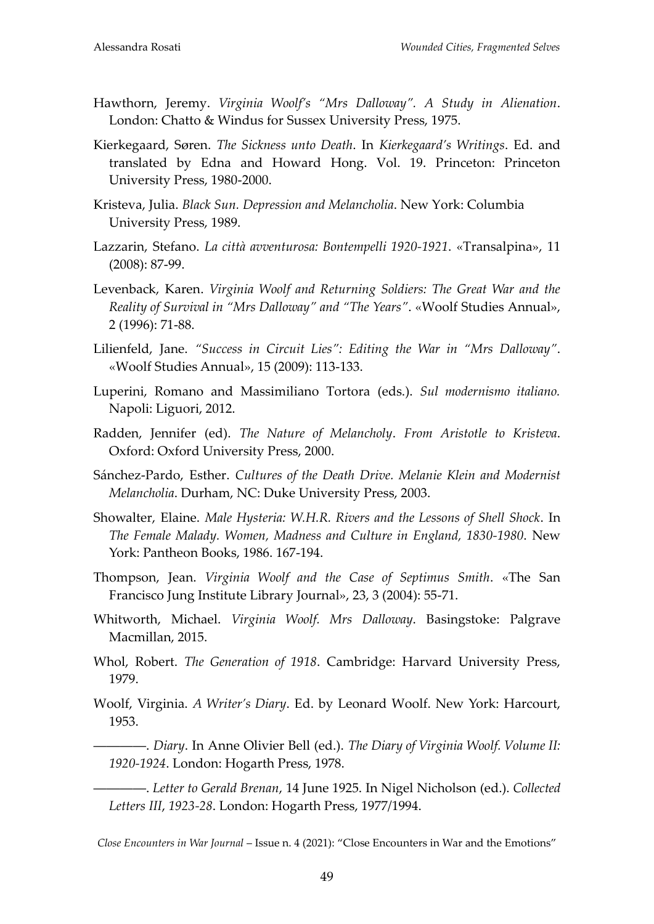- Hawthorn, Jeremy. *Virginia Woolf's "Mrs Dalloway". A Study in Alienation*. London: Chatto & Windus for Sussex University Press, 1975.
- Kierkegaard, Søren. *The Sickness unto Death*. In *Kierkegaard's Writings*. Ed. and translated by Edna and Howard Hong. Vol. 19. Princeton: Princeton University Press, 1980-2000.
- Kristeva, Julia. *Black Sun. Depression and Melancholia*. New York: Columbia University Press, 1989.
- Lazzarin, Stefano. *La città avventurosa: Bontempelli 1920-1921*. «Transalpina», 11 (2008): 87-99.
- Levenback, Karen. *Virginia Woolf and Returning Soldiers: The Great War and the Reality of Survival in "Mrs Dalloway" and "The Years"*. «Woolf Studies Annual», 2 (1996): 71-88.
- Lilienfeld, Jane. *"Success in Circuit Lies": Editing the War in "Mrs Dalloway"*. «Woolf Studies Annual», 15 (2009): 113-133.
- Luperini, Romano and Massimiliano Tortora (eds.). *Sul modernismo italiano.*  Napoli: Liguori, 2012.
- Radden, Jennifer (ed). *The Nature of Melancholy*. *From Aristotle to Kristeva*. Oxford: Oxford University Press, 2000.
- S{nchez-Pardo, Esther. *Cultures of the Death Drive. Melanie Klein and Modernist Melancholia*. Durham, NC: Duke University Press, 2003.
- Showalter, Elaine. *Male Hysteria: W.H.R. Rivers and the Lessons of Shell Shock*. In *The Female Malady. Women, Madness and Culture in England, 1830-1980*. New York: Pantheon Books, 1986. 167-194.
- Thompson, Jean. *Virginia Woolf and the Case of Septimus Smith*. «The San Francisco Jung Institute Library Journal», 23, 3 (2004): 55-71.
- Whitworth, Michael. *Virginia Woolf. Mrs Dalloway*. Basingstoke: Palgrave Macmillan, 2015.
- Whol, Robert. *The Generation of 1918*. Cambridge: Harvard University Press, 1979.
- Woolf, Virginia. *A Writer's Diary*. Ed. by Leonard Woolf. New York: Harcourt, 1953.
- ――――. *Diary*. In Anne Olivier Bell (ed.). *The Diary of Virginia Woolf. Volume II: 1920-1924*. London: Hogarth Press, 1978.
- ――――. *Letter to Gerald Brenan*, 14 June 1925. In Nigel Nicholson (ed.). *Collected Letters III*, *1923-28*. London: Hogarth Press, 1977/1994.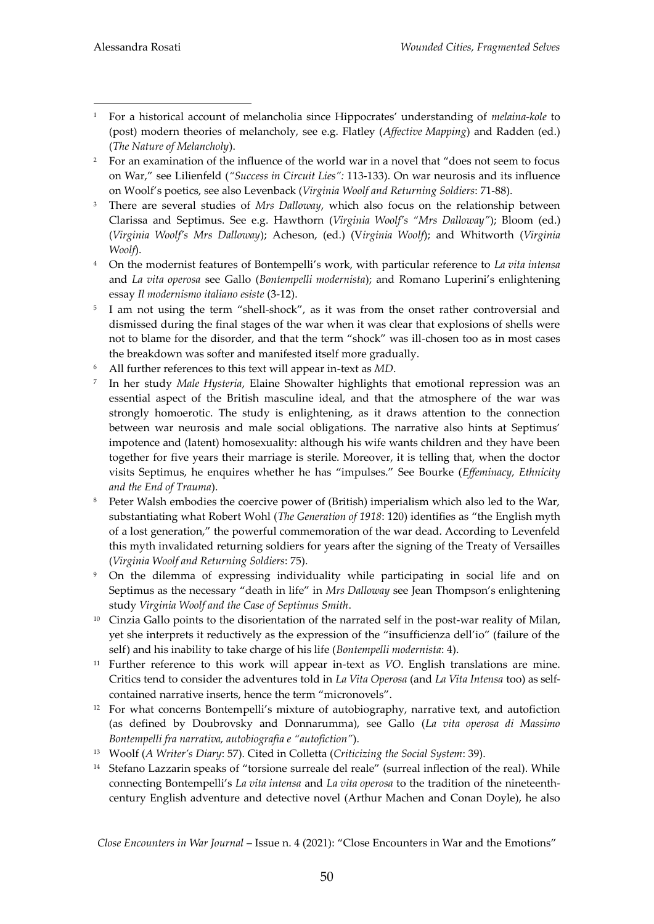- <u>.</u> <sup>1</sup> For a historical account of melancholia since Hippocrates' understanding of *melaina-kole* to (post) modern theories of melancholy, see e.g. Flatley (*Affective Mapping*) and Radden (ed.) (*The Nature of Melancholy*).
- <sup>2</sup> For an examination of the influence of the world war in a novel that "does not seem to focus on War," see Lilienfeld (*"Success in Circuit Lies":* 113-133). On war neurosis and its influence on Woolf's poetics, see also Levenback (*Virginia Woolf and Returning Soldiers*: 71-88).
- <sup>3</sup> There are several studies of *Mrs Dalloway*, which also focus on the relationship between Clarissa and Septimus. See e.g. Hawthorn (*Virginia Woolf's "Mrs Dalloway"*); Bloom (ed.) (*Virginia Woolf's Mrs Dalloway*); Acheson, (ed.) (V*irginia Woolf*); and Whitworth (*Virginia Woolf*).
- <sup>4</sup> On the modernist features of Bontempelli's work, with particular reference to *La vita intensa* and *La vita operosa* see Gallo (*Bontempelli modernista*); and Romano Luperini's enlightening essay *Il modernismo italiano esiste* (3-12).
- <sup>5</sup> I am not using the term "shell-shock", as it was from the onset rather controversial and dismissed during the final stages of the war when it was clear that explosions of shells were not to blame for the disorder, and that the term "shock" was ill-chosen too as in most cases the breakdown was softer and manifested itself more gradually.
- <sup>6</sup> All further references to this text will appear in-text as *MD*.
- 7 In her study *Male Hysteria*, Elaine Showalter highlights that emotional repression was an essential aspect of the British masculine ideal, and that the atmosphere of the war was strongly homoerotic. The study is enlightening, as it draws attention to the connection between war neurosis and male social obligations. The narrative also hints at Septimus' impotence and (latent) homosexuality: although his wife wants children and they have been together for five years their marriage is sterile. Moreover, it is telling that, when the doctor visits Septimus, he enquires whether he has "impulses." See Bourke (*Effeminacy, Ethnicity and the End of Trauma*).
- <sup>8</sup> Peter Walsh embodies the coercive power of (British) imperialism which also led to the War. substantiating what Robert Wohl (*The Generation of 1918*: 120) identifies as "the English myth of a lost generation," the powerful commemoration of the war dead. According to Levenfeld this myth invalidated returning soldiers for years after the signing of the Treaty of Versailles (*Virginia Woolf and Returning Soldiers*: 75).
- <sup>9</sup> On the dilemma of expressing individuality while participating in social life and on Septimus as the necessary "death in life" in *Mrs Dalloway* see Jean Thompson's enlightening study *Virginia Woolf and the Case of Septimus Smith*.
- <sup>10</sup> Cinzia Gallo points to the disorientation of the narrated self in the post-war reality of Milan, yet she interprets it reductively as the expression of the "insufficienza dell'io" (failure of the self) and his inability to take charge of his life (*Bontempelli modernista*: 4).
- <sup>11</sup> Further reference to this work will appear in-text as *VO*. English translations are mine. Critics tend to consider the adventures told in *La Vita Operosa* (and *La Vita Intensa* too) as selfcontained narrative inserts, hence the term "micronovels".
- <sup>12</sup> For what concerns Bontempelli's mixture of autobiography, narrative text, and autofiction (as defined by Doubrovsky and Donnarumma), see Gallo (*La vita operosa di Massimo Bontempelli fra narrativa, autobiografia e "autofiction"*).
- <sup>13</sup> Woolf (*A Writer's Diary*: 57). Cited in Colletta (*Criticizing the Social System*: 39).
- <sup>14</sup> Stefano Lazzarin speaks of "torsione surreale del reale" (surreal inflection of the real). While connecting Bontempelli's *La vita intensa* and *La vita operosa* to the tradition of the nineteenthcentury English adventure and detective novel (Arthur Machen and Conan Doyle), he also